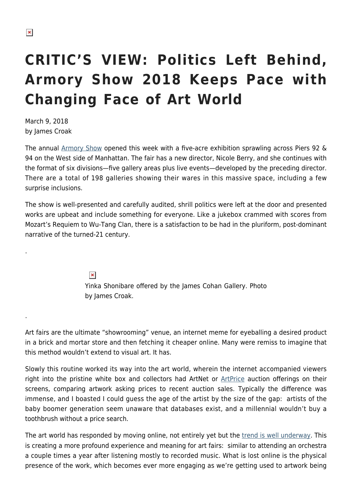.

.

## **CRITIC'S VIEW: Politics Left Behind, Armory Show 2018 Keeps Pace with Changing Face of Art World**

March 9, 2018 by James Croak

The annual [Armory Show](https://www.thearmoryshow.com/) opened this week with a five-acre exhibition sprawling across Piers 92 & 94 on the West side of Manhattan. The fair has a new director, Nicole Berry, and she continues with the format of six divisions—five gallery areas plus live events—developed by the preceding director. There are a total of 198 galleries showing their wares in this massive space, including a few surprise inclusions.

The show is well-presented and carefully audited, shrill politics were left at the door and presented works are upbeat and include something for everyone. Like a jukebox crammed with scores from Mozart's Requiem to Wu-Tang Clan, there is a satisfaction to be had in the pluriform, post-dominant narrative of the turned-21 century.

> $\pmb{\times}$ Yinka Shonibare offered by the James Cohan Gallery. Photo by James Croak.

Art fairs are the ultimate "showrooming" venue, an internet meme for eyeballing a desired product in a brick and mortar store and then fetching it cheaper online. Many were remiss to imagine that this method wouldn't extend to visual art. It has.

Slowly this routine worked its way into the art world, wherein the internet accompanied viewers right into the pristine white box and collectors had ArtNet or [ArtPrice](https://www.artprice.com) auction offerings on their screens, comparing artwork asking prices to recent auction sales. Typically the difference was immense, and I boasted I could guess the age of the artist by the size of the gap: artists of the baby boomer generation seem unaware that databases exist, and a millennial wouldn't buy a toothbrush without a price search.

The art world has responded by moving online, not entirely yet but the [trend is well underway](https://www.theverge.com/2017/7/18/15983712/artsy-fine-art-galleries-online-auction-sales). This is creating a more profound experience and meaning for art fairs: similar to attending an orchestra a couple times a year after listening mostly to recorded music. What is lost online is the physical presence of the work, which becomes ever more engaging as we're getting used to artwork being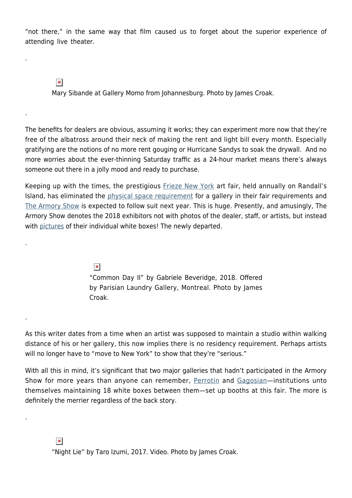"not there," in the same way that film caused us to forget about the superior experience of attending live theater.

 $\pmb{\times}$ 

.

.

.

.

.

Mary Sibande at Gallery Momo from Johannesburg. Photo by James Croak.

The benefits for dealers are obvious, assuming it works; they can experiment more now that they're free of the albatross around their neck of making the rent and light bill every month. Especially gratifying are the notions of no more rent gouging or Hurricane Sandys to soak the drywall. And no more worries about the ever-thinning Saturday traffic as a 24-hour market means there's always someone out there in a jolly mood and ready to purchase.

Keeping up with the times, the prestigious [Frieze New York](https://hamptonsarthub.com/2017/05/05/art-fairs-critics-view-five-booths-not-to-miss-at-frieze-new-york-this-year/) art fair, held annually on Randall's Island, has eliminated the *[physical space requirement](https://news.artnet.com/market/frieze-changes-application-criteria-galleries-1207628)* for a gallery in their fair requirements and [The Armory Show](https://hamptonsarthub.com/2016/03/03/art-fair-critics-view-highs-and-lows-at-armory-shows-2016-contemporary-pier/) is expected to follow suit next year. This is huge. Presently, and amusingly, The Armory Show denotes the 2018 exhibitors not with photos of the dealer, staff, or artists, but instead with [pictures](https://www.thearmoryshow.com/exhibitors/galleries) of their individual white boxes! The newly departed.

> $\pmb{\times}$ "Common Day II" by Gabriele Beveridge, 2018. Offered by Parisian Laundry Gallery, Montreal. Photo by James Croak.

As this writer dates from a time when an artist was supposed to maintain a studio within walking distance of his or her gallery, this now implies there is no residency requirement. Perhaps artists will no longer have to "move to New York" to show that they're "serious."

With all this in mind, it's significant that two major galleries that hadn't participated in the Armory Show for more years than anyone can remember, [Perrotin](https://www.perrotin.com/) and [Gagosian—](https://www.gagosian.com/)institutions unto themselves maintaining 18 white boxes between them—set up booths at this fair. The more is definitely the merrier regardless of the back story.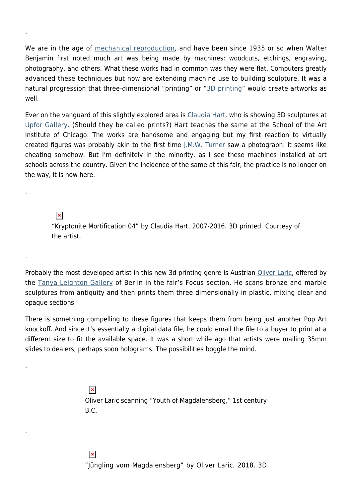We are in the age of [mechanical reproduction,](https://en.wikipedia.org/wiki/The_Work_of_Art_in_the_Age_of_Mechanical_Reproduction) and have been since 1935 or so when Walter Benjamin first noted much art was being made by machines: woodcuts, etchings, engraving, photography, and others. What these works had in common was they were flat. Computers greatly advanced these techniques but now are extending machine use to building sculpture. It was a natural progression that three-dimensional "printing" or "[3D printing](https://www.monoprice.com/product?p_id=21711&gclid=EAIaIQobChMIkILRmPDc2QIVTlmGCh2MvALMEAQYAiABEgJhx_D_BwE)" would create artworks as well.

Ever on the vanguard of this slightly explored area is [Claudia Hart](http://www.claudiahart.com/), who is showing 3D sculptures at [Upfor Gallery.](https://upforgallery.com/) (Should they be called prints?) Hart teaches the same at the School of the Art Institute of Chicago. The works are handsome and engaging but my first reaction to virtually created figures was probably akin to the first time  $J.M.M.$  Turner saw a photograph: it seems like cheating somehow. But I'm definitely in the minority, as I see these machines installed at art schools across the country. Given the incidence of the same at this fair, the practice is no longer on the way, it is now here.

 $\pmb{\times}$ 

.

.

.

.

.

"Kryptonite Mortification 04" by Claudia Hart, 2007-2016. 3D printed. Courtesy of the artist.

Probably the most developed artist in this new 3d printing genre is Austrian [Oliver Laric,](http://oliverlaric.com/) offered by the [Tanya Leighton Gallery](http://www.tanyaleighton.com/main.php#exhibitions) of Berlin in the fair's Focus section. He scans bronze and marble sculptures from antiquity and then prints them three dimensionally in plastic, mixing clear and opaque sections.

There is something compelling to these figures that keeps them from being just another Pop Art knockoff. And since it's essentially a digital data file, he could email the file to a buyer to print at a different size to fit the available space. It was a short while ago that artists were mailing 35mm slides to dealers; perhaps soon holograms. The possibilities boggle the mind.

> $\pmb{\times}$ Oliver Laric scanning "Youth of Magdalensberg," 1st century B.C.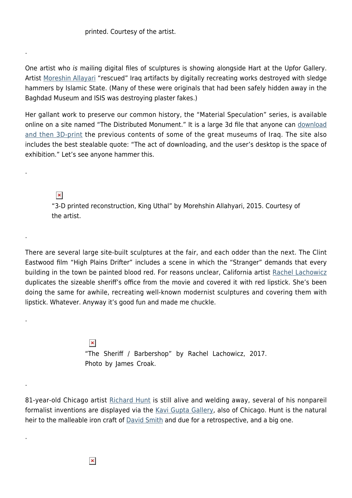printed. Courtesy of the artist.

.

.

.

.

.

.

One artist who is mailing digital files of sculptures is showing alongside Hart at the Upfor Gallery. Artist [Moreshin Allayari](http://www.morehshin.com/) "rescued" Iraq artifacts by digitally recreating works destroyed with sledge hammers by Islamic State. (Many of these were originals that had been safely hidden away in the Baghdad Museum and ISIS was destroying plaster fakes.)

Her gallant work to preserve our common history, the "Material Speculation" series, is available online on a site named "The Distributed Monument." It is a large 3d file that anyone can [download](http://rhizome.org/editorial/2016/feb/16/morehshin-allahyari/) [and then 3D-print](http://rhizome.org/editorial/2016/feb/16/morehshin-allahyari/) the previous contents of some of the great museums of Iraq. The site also includes the best stealable quote: "The act of downloading, and the user's desktop is the space of exhibition." Let's see anyone hammer this.

 $\pmb{\times}$ "3-D printed reconstruction, King Uthal" by Morehshin Allahyari, 2015. Courtesy of the artist.

There are several large site-built sculptures at the fair, and each odder than the next. The Clint Eastwood film "High Plains Drifter" includes a scene in which the "Stranger" demands that every building in the town be painted blood red. For reasons unclear, California artist [Rachel Lachowicz](http://lachowicz.com/) duplicates the sizeable sheriff's office from the movie and covered it with red lipstick. She's been doing the same for awhile, recreating well-known modernist sculptures and covering them with lipstick. Whatever. Anyway it's good fun and made me chuckle.

> $\pmb{\times}$ "The Sheriff / Barbershop" by Rachel Lachowicz, 2017. Photo by James Croak.

81-year-old Chicago artist [Richard Hunt](http://richardhuntstudio.com/) is still alive and welding away, several of his nonpareil formalist inventions are displayed via the [Kavi Gupta Gallery,](http://kavigupta.com/) also of Chicago. Hunt is the natural heir to the malleable iron craft of **David Smith** and due for a retrospective, and a big one.

 $\pmb{\times}$